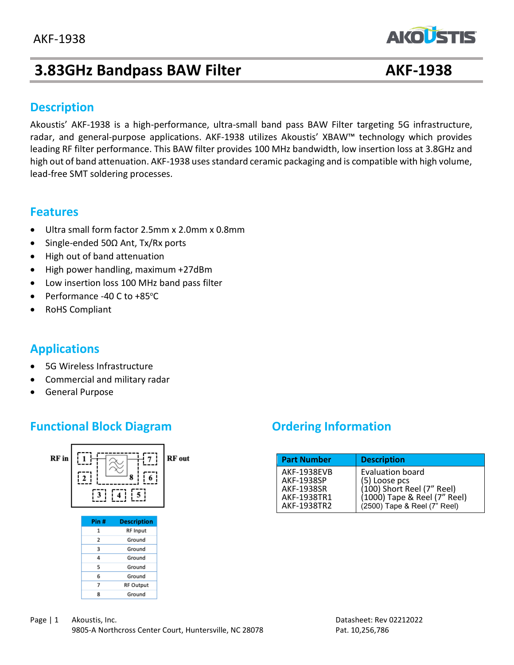# **3.83GHz Bandpass BAW Filter AKF-1938**

**AKOLSTIS** 

### **Description**

Akoustis' AKF-1938 is a high-performance, ultra-small band pass BAW Filter targeting 5G infrastructure, radar, and general-purpose applications. AKF-1938 utilizes Akoustis' XBAW™ technology which provides leading RF filter performance. This BAW filter provides 100 MHz bandwidth, low insertion loss at 3.8GHz and high out of band attenuation. AKF-1938 uses standard ceramic packaging and is compatible with high volume, lead-free SMT soldering processes.

### **Features**

- Ultra small form factor 2.5mm x 2.0mm x 0.8mm
- Single-ended 50Ω Ant, Tx/Rx ports
- High out of band attenuation
- High power handling, maximum +27dBm
- Low insertion loss 100 MHz band pass filter
- Performance -40 C to  $+85^{\circ}$ C
- RoHS Compliant

# **Applications**

- 5G Wireless Infrastructure
- Commercial and military radar
- General Purpose

# **Functional Block Diagram Diagram Ordering Information**



| <b>Part Number</b> | <b>Description</b>           |
|--------------------|------------------------------|
| <b>AKF-1938EVB</b> | Evaluation board             |
| AKF-1938SP         | (5) Loose pcs                |
| AKF-1938SR         | (100) Short Reel (7" Reel)   |
| AKF-1938TR1        | (1000) Tape & Reel (7" Reel) |
| AKF-1938TR2        | (2500) Tape & Reel (7" Reel) |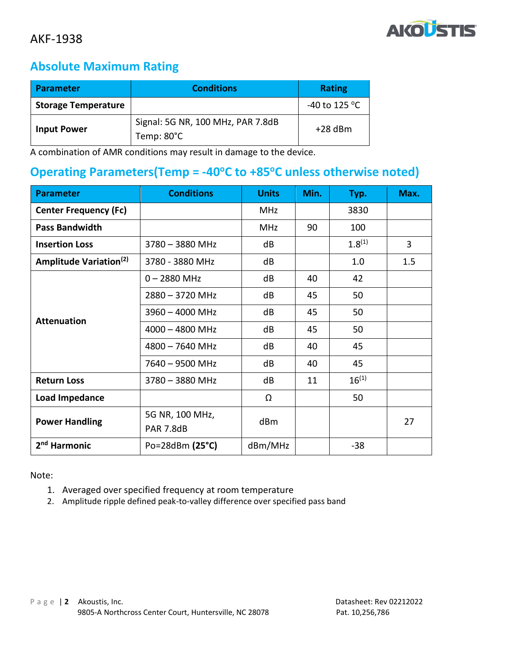

# **Absolute Maximum Rating**

| <b>Parameter</b>           | <b>Conditions</b>                               | <b>Rating</b>           |
|----------------------------|-------------------------------------------------|-------------------------|
| <b>Storage Temperature</b> |                                                 | -40 to 125 $^{\circ}$ C |
| <b>Input Power</b>         | Signal: 5G NR, 100 MHz, PAR 7.8dB<br>Temp: 80°C | $+28$ dBm               |

A combination of AMR conditions may result in damage to the device.

## **Operating Parameters(Temp = -40<sup>o</sup>C to +85<sup>o</sup>C unless otherwise noted)**

| <b>Parameter</b>                   | <b>Conditions</b>        | <b>Units</b> | Min. | Typ.        | Max. |
|------------------------------------|--------------------------|--------------|------|-------------|------|
| <b>Center Frequency (Fc)</b>       |                          | <b>MHz</b>   |      | 3830        |      |
| <b>Pass Bandwidth</b>              |                          | <b>MHz</b>   | 90   | 100         |      |
| <b>Insertion Loss</b>              | $3780 - 3880$ MHz        | dB           |      | $1.8^{(1)}$ | 3    |
| Amplitude Variation <sup>(2)</sup> | 3780 - 3880 MHz          | dB           |      | 1.0         | 1.5  |
|                                    | $0 - 2880$ MHz           | dB           | 40   | 42          |      |
|                                    | $2880 - 3720$ MHz        | dB           | 45   | 50          |      |
|                                    | $3960 - 4000$ MHz        | dB           | 45   | 50          |      |
| <b>Attenuation</b>                 | $4000 - 4800$ MHz        | dB           | 45   | 50          |      |
|                                    | $4800 - 7640$ MHz        | dB           | 40   | 45          |      |
|                                    | 7640 - 9500 MHz          | dB           | 40   | 45          |      |
| <b>Return Loss</b>                 | 3780 - 3880 MHz          | dB           | 11   | $16^{(1)}$  |      |
| Load Impedance                     |                          | Ω            |      | 50          |      |
| <b>Power Handling</b>              | 5G NR, 100 MHz,          | dBm          |      |             | 27   |
|                                    | <b>PAR 7.8dB</b>         |              |      |             |      |
| 2 <sup>nd</sup> Harmonic           | Po=28dBm $(25^{\circ}C)$ | dBm/MHz      |      | $-38$       |      |

Note:

- 1. Averaged over specified frequency at room temperature
- 2. Amplitude ripple defined peak-to-valley difference over specified pass band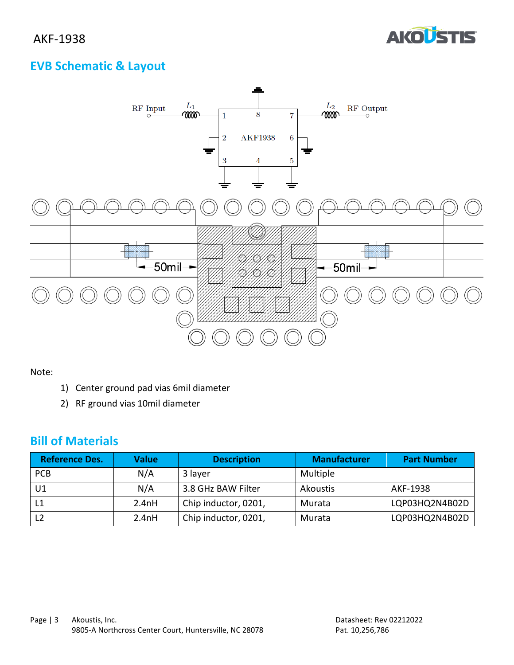

# **EVB Schematic & Layout**



Note:

- 1) Center ground pad vias 6mil diameter
- 2) RF ground vias 10mil diameter

## **Bill of Materials**

| <b>Reference Des.</b> | <b>Value</b> | <b>Description</b>   | <b>Manufacturer</b> | <b>Part Number</b> |
|-----------------------|--------------|----------------------|---------------------|--------------------|
| <b>PCB</b>            | N/A          | 3 layer              | Multiple            |                    |
| U1                    | N/A          | 3.8 GHz BAW Filter   | Akoustis            | AKF-1938           |
| $\lfloor 1$           | 2.4nH        | Chip inductor, 0201, | Murata              | LQP03HQ2N4B02D     |
| L <sub>2</sub>        | 2.4nH        | Chip inductor, 0201, | Murata              | LQP03HQ2N4B02D     |
|                       |              |                      |                     |                    |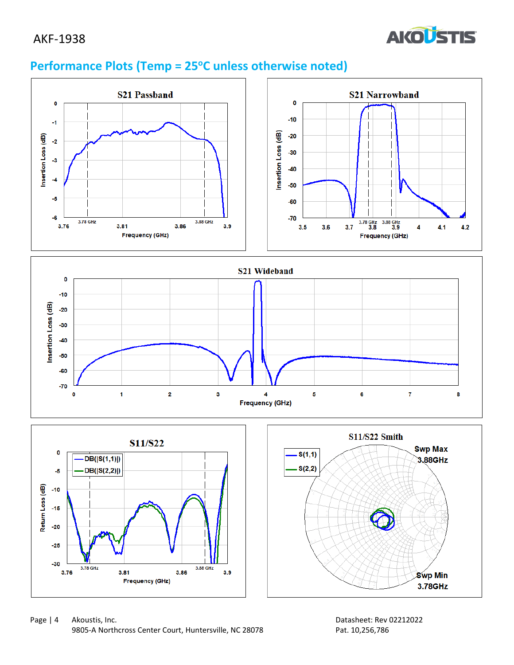# AKF-1938



# **Performance Plots (Temp = 25<sup>o</sup>C unless otherwise noted)**





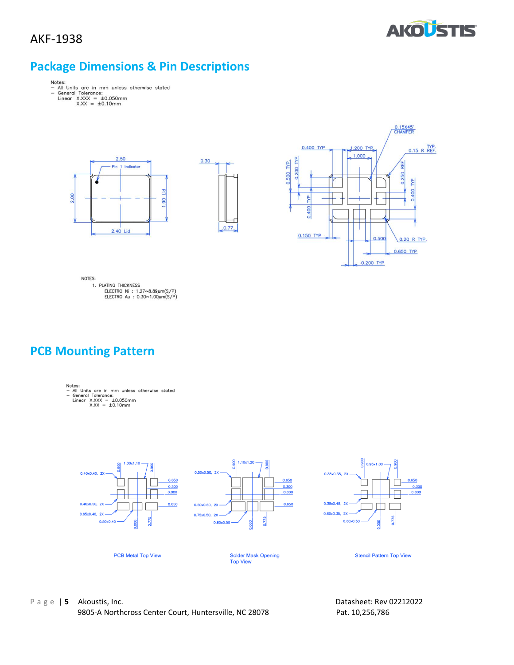



# **Package Dimensions & Pin Descriptions**

- Notes:<br>- All Units are in mm unless otherwise stated<br>- General Tolerance:<br>Linear X.XXX = ±0.050mm<br>X.XX = ±0.10mm
	- -







NOTES: ---<br>1. PLATING THICKNESS<br>ELECTRO Ni : 1.27∼8.89µm(S/P)<br>ELECTRO Au : 0.30∼1.00µm(S/P)

## **PCB Mounting Pattern**

- Notes:<br>- All Units are in mm unless otherwise stated<br>- General Tolerance:<br>Linear X.XXX = ±0.050mm<br>X.XX = ±0.10mm
	-
	-



P a g e | **5** Akoustis, Inc. Datasheet: Rev 02212022 9805-A Northcross Center Court, Huntersville, NC 28078 Pat. 10,256,786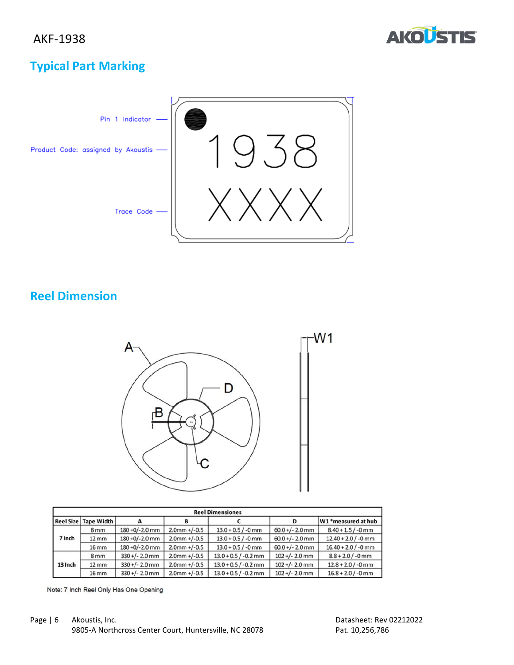

# **Typical Part Marking**



# **Reel Dimension**



| <b>Reel Dimensiones</b> |                   |                   |                 |                        |                   |                       |
|-------------------------|-------------------|-------------------|-----------------|------------------------|-------------------|-----------------------|
| <b>Reel Size</b>        | <b>Tape Width</b> |                   | в               |                        | D                 | W1 *measured at hub   |
| 7 Inch                  | 8 <sub>mm</sub>   | $180 + 0/-2.0$ mm | $2.0$ mm +/-0.5 | $13.0 + 0.5 / -0$ mm   | $60.0 +/- 2.0$ mm | $8.40 + 1.5 / -0$ mm  |
|                         | $12 \, \text{mm}$ | $180 + 0/-2.0$ mm | $2.0$ mm +/-0.5 | $13.0 + 0.5 / -0$ mm   | $60.0 +/- 2.0$ mm | $12.40 + 2.0 / -0$ mm |
|                         | $16$ mm           | 180 +0/-2.0 mm    | $2.0$ mm +/-0.5 | $13.0 + 0.5 / -0$ mm   | $60.0 +/- 2.0$ mm | $16.40 + 2.0 / -0$ mm |
| 13 Inch                 | 8 <sub>mm</sub>   | $330 +/- 2.0$ mm  | $2.0$ mm +/-0.5 | $13.0 + 0.5 / -0.2$ mm | $102 +/- 2.0$ mm  | $8.8 + 2.0 / -0$ mm   |
|                         | $12 \, \text{mm}$ | $330+/- 2.0$ mm   | $2.0$ mm +/-0.5 | $13.0 + 0.5 / -0.2$ mm | $102 +/- 2.0$ mm  | $12.8 + 2.0 / -0$ mm  |
|                         | $16$ mm           | $330+/- 2.0$ mm   | $2.0$ mm +/-0.5 | $13.0 + 0.5 / -0.2$ mm | $102 +/- 2.0$ mm  | $16.8 + 2.0 / -0$ mm  |

Note: 7 Inch Reel Only Has One Opening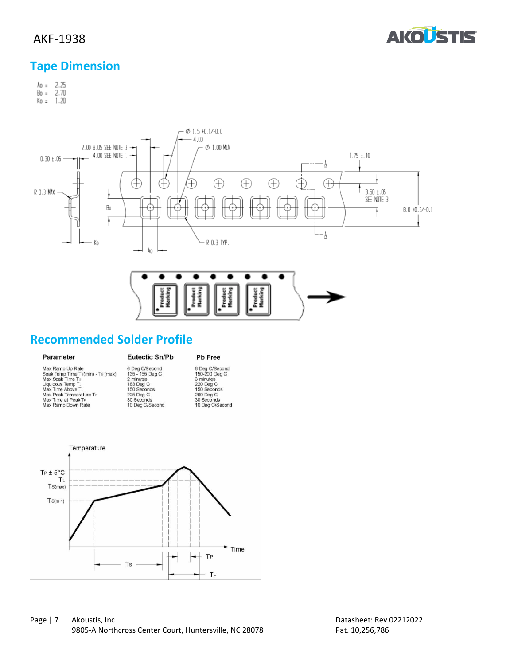

## AKF-1938

# **Tape Dimension**

Ao = 2.25<br>Bo = 2.70<br>Ko = 1.20



# **Recommended Solder Profile**

#### Parameter

# Pb Free

| Max Ramp Up Rate                  | 6 Deg C/Second  | 6 Deg C/Second  |
|-----------------------------------|-----------------|-----------------|
| Soak Temp Time Ts(min) - Ts (max) | 135 - 155 Deg C | 150-200 Deg C   |
| Max Soak Time Ts                  | 2 minutes       | 3 minutes       |
| Liquidous Temp TL                 | 183 Deg C       | 220 Deg C       |
| Max Time Above TL                 | 150 Seconds     | 150 Seconds     |
| Max Peak Temperature TP           | 225 Deg C       | 260 Deg C       |
| Max Time at Peak TP               | 30 Seconds      | 30 Seconds      |
| Max Ramp Down Rate                | 10 Deg C/Second | 10 Deg C/Second |

**Eutectic Sn/Pb**